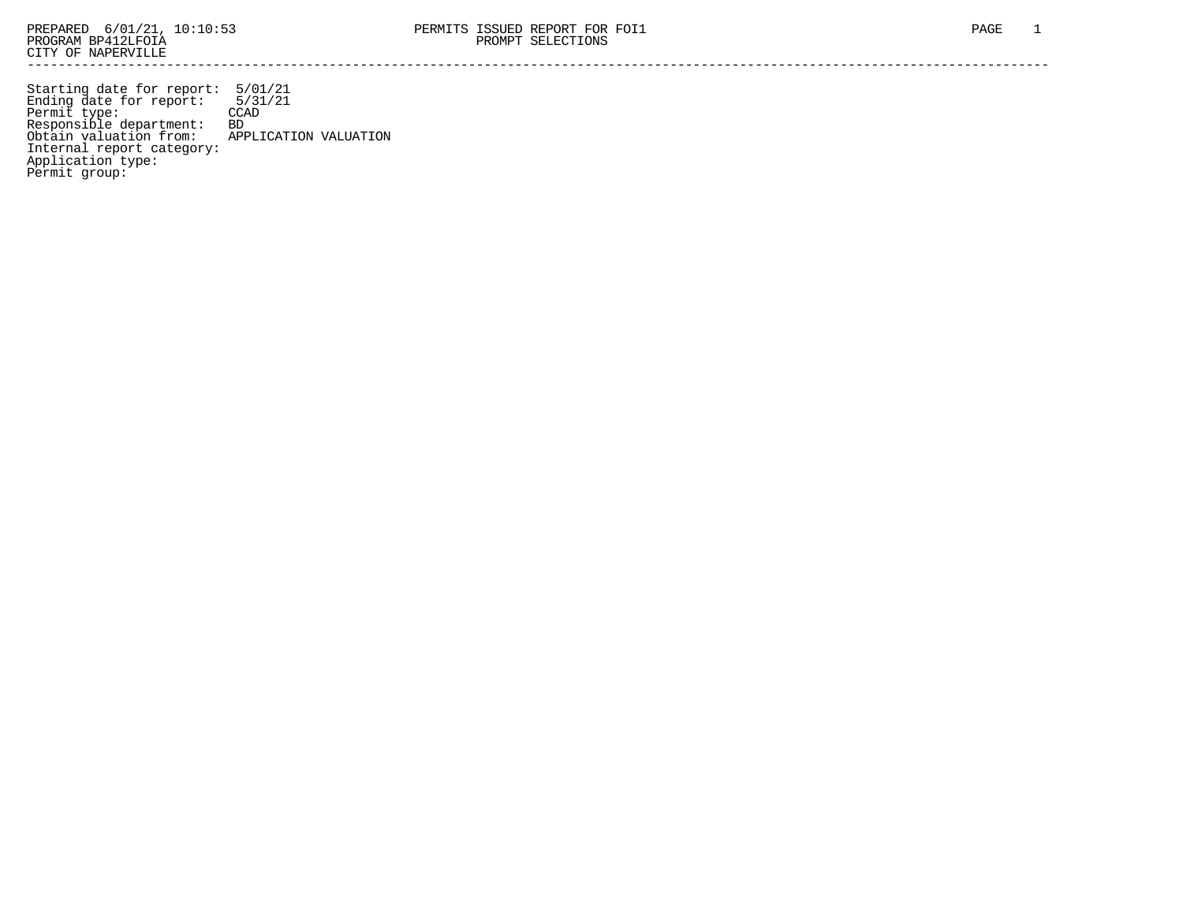Starting date for report: 5/01/21 Ending date for report: 5/31/21 Permit type: CCAD Responsible department: BD Obtain valuation from: APPLICATION VALUATION Internal report category: Application type: Permit group: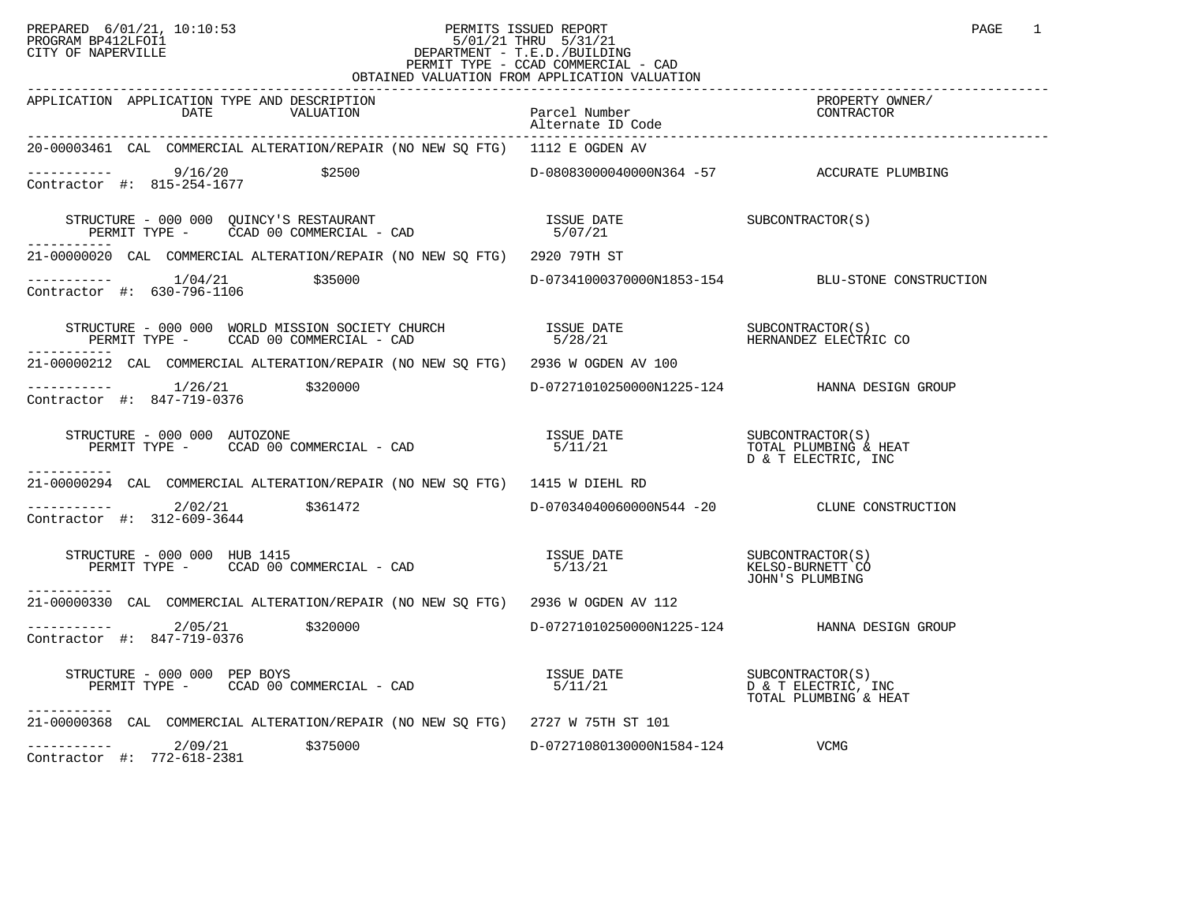### PREPARED 6/01/21, 10:10:53 PERMITS ISSUED REPORT<br>PROGRAM BP412LFOI1 PAGE 1 PROGRAM BP412LFOI1 5/01/21 THRU 5/31/21 CITY OF NAPERVILLE **Example 20** CITY OF NAPERVILLE PERMIT TYPE - CCAD COMMERCIAL - CAD OBTAINED VALUATION FROM APPLICATION VALUATION

| APPLICATION APPLICATION TYPE AND DESCRIPTION<br>DATE<br>VALUATION                                                                                                                                                                                                                                                                                                                                                                                                                 | Parcel Number<br>Alternate ID Code         | --------<br>PROPERTY OWNER/<br>CONTRACTOR    |
|-----------------------------------------------------------------------------------------------------------------------------------------------------------------------------------------------------------------------------------------------------------------------------------------------------------------------------------------------------------------------------------------------------------------------------------------------------------------------------------|--------------------------------------------|----------------------------------------------|
| 20-00003461 CAL COMMERCIAL ALTERATION/REPAIR (NO NEW SQ FTG) 1112 E OGDEN AV                                                                                                                                                                                                                                                                                                                                                                                                      |                                            |                                              |
| ----------- 9/16/20 \$2500<br>Contractor #: 815-254-1677 \$2500                                                                                                                                                                                                                                                                                                                                                                                                                   | D-08083000040000N364 -57 ACCURATE PLUMBING |                                              |
| $\begin{array}{cccc} \texttt{STRUCTURE} & - & 000 & 000 & \texttt{QUINCY'S RESTAURANT} \\ \texttt{PERMIT TYPE} & - & \texttt{CCAD} & 00 & \texttt{COMMERCIAL} & - & \texttt{CAD} \\ \end{array} \hspace{1cm} \begin{array}{cccc} \texttt{ISSUE} & \texttt{DATE} \\ & 5/07/21 \\ \end{array} \hspace{2cm} \begin{array}{cccc} \texttt{ISSUE} & \texttt{DATE} \\ \end{array} \hspace{2cm} \begin{array}{cccc} \texttt{SUBCONTRACTOR(S)} & \texttt{SUBCONTRACTOR(S)} \\ \end{array}$ |                                            |                                              |
| 21-00000020 CAL COMMERCIAL ALTERATION/REPAIR (NO NEW SQ FTG) 2920 79TH ST                                                                                                                                                                                                                                                                                                                                                                                                         |                                            |                                              |
| $\begin{tabular}{l} \texttt{----------} & \texttt{1/04/21} & \texttt{\$35000} \\ \texttt{Contractor} & \texttt{#:} & \texttt{630-796-1106} \end{tabular} \end{tabular} \end{tabular} \begin{tabular}{l} \texttt{53-154} & \texttt{D-07341000370000N1853-154} \end{tabular} \end{tabular} \end{tabular} \begin{tabular}{l} \texttt{54} & \texttt{BLU-STONE CONSTRUCTION} \end{tabular}$                                                                                            |                                            |                                              |
|                                                                                                                                                                                                                                                                                                                                                                                                                                                                                   |                                            |                                              |
| 21-00000212 CAL COMMERCIAL ALTERATION/REPAIR (NO NEW SQ FTG) 2936 W OGDEN AV 100                                                                                                                                                                                                                                                                                                                                                                                                  |                                            |                                              |
| $\begin{array}{cccc}\n-2 & -2 & -2 & -2 \\ \text{Contractor} & +2 & 847-719-0376 & & \text{320000}\n\end{array}$                                                                                                                                                                                                                                                                                                                                                                  |                                            | D-07271010250000N1225-124 HANNA DESIGN GROUP |
| $\begin{array}{cccc} \texttt{STRUCTURE} & - & 000 & 000 & \texttt{AUTOZONE} \\ \texttt{PERMIT TYPE} & - & \texttt{CCAD} & 00 & \texttt{COMMERCIAL} & - & \texttt{CAD} \\ \texttt{PERMIT TYPE} & - & \texttt{CCAD} & 00 & \texttt{COMMERCIAL} & - & \texttt{CAD} \\ \end{array}$<br>-----------                                                                                                                                                                                    |                                            | TOTAL PLUMBING & HEAT                        |
| 21-00000294 CAL COMMERCIAL ALTERATION/REPAIR (NO NEW SO FTG) 1415 W DIEHL RD                                                                                                                                                                                                                                                                                                                                                                                                      |                                            |                                              |
| $---------2/02/21$ \$361472<br>Contractor #: 312-609-3644                                                                                                                                                                                                                                                                                                                                                                                                                         |                                            | D-07034040060000N544 -20 CLUNE CONSTRUCTION  |
| Exercive and the subcontrust of the subcontrust of the set of the set of the subcontrust of the subcontrust of<br>PERMIT TYPE - CCAD 00 COMMERCIAL - CAD (5/13/21) FERMIT TO TOUR PLIMBING<br>STRUCTURE - 000 000 HUB 1415<br>------------                                                                                                                                                                                                                                        |                                            | JOHN'S PLUMBING                              |
| 21-00000330 CAL COMMERCIAL ALTERATION/REPAIR (NO NEW SQ FTG) 2936 W OGDEN AV 112                                                                                                                                                                                                                                                                                                                                                                                                  |                                            |                                              |
| $---------2/05/21$ \$320000<br>Contractor #: 847-719-0376                                                                                                                                                                                                                                                                                                                                                                                                                         |                                            | D-07271010250000N1225-124 HANNA DESIGN GROUP |
| TRUCTURE - 000 000 PEP BOYS<br>PERMIT TYPE -     CCAD 00 COMMERCIAL - CAD<br>STRUCTURE - 000 000 PEP BOYS<br>-----------                                                                                                                                                                                                                                                                                                                                                          |                                            |                                              |
| 21-00000368 CAL COMMERCIAL ALTERATION/REPAIR (NO NEW SO FTG) 2727 W 75TH ST 101                                                                                                                                                                                                                                                                                                                                                                                                   |                                            |                                              |
| $---------2/09/21$ \$375000<br>Contractor #: 772-618-2381                                                                                                                                                                                                                                                                                                                                                                                                                         | D-07271080130000N1584-124                  | VCMG                                         |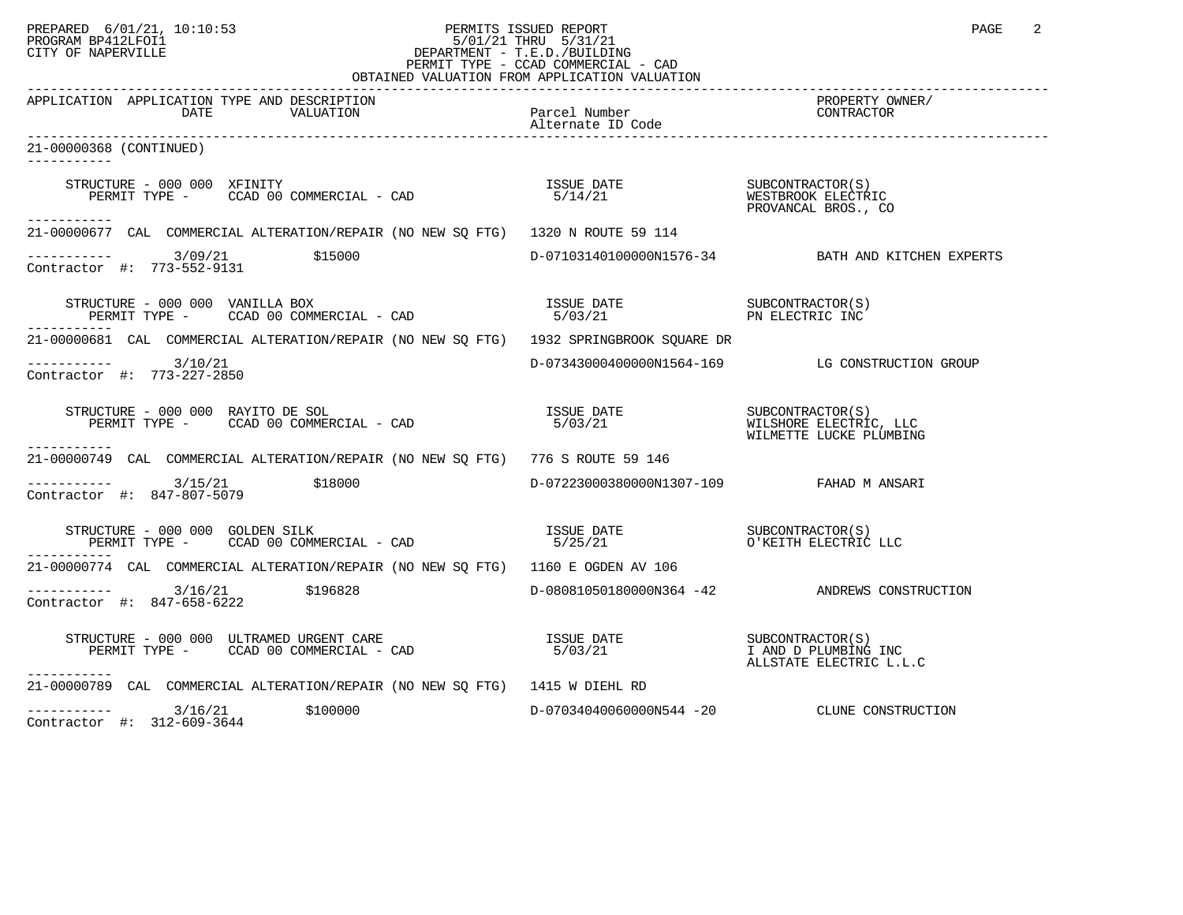#### PREPARED 6/01/21, 10:10:53 PERMITS ISSUED REPORT<br>PROGRAM BP412LFOI1 PAGE 2 PROGRAM BP412LFOI1 5/01/21 THRU 5/31/21 CITY OF NAPERVILLE **Example 20** CITY OF NAPERVILLE PERMIT TYPE - CCAD COMMERCIAL - CAD OBTAINED VALUATION FROM APPLICATION VALUATION

| APPLICATION APPLICATION TYPE AND DESCRIPTION<br>VALUATION<br>DATE                                                                                                                                                                                                                                                                                                                            | Parcel Number                            | PROPERTY OWNER/<br>PRUPERII UM<br>CONTRACTOR      |
|----------------------------------------------------------------------------------------------------------------------------------------------------------------------------------------------------------------------------------------------------------------------------------------------------------------------------------------------------------------------------------------------|------------------------------------------|---------------------------------------------------|
| 21-00000368 (CONTINUED)                                                                                                                                                                                                                                                                                                                                                                      |                                          |                                                   |
| STRUCTURE - 000 000 XFINITY                                                                                                                                                                                                                                                                                                                                                                  |                                          |                                                   |
| -----------<br>21-00000677 CAL COMMERCIAL ALTERATION/REPAIR (NO NEW SO FTG) 1320 N ROUTE 59 114                                                                                                                                                                                                                                                                                              |                                          |                                                   |
| $------ 3/09/21$ \$15000<br>Contractor #: 773-552-9131                                                                                                                                                                                                                                                                                                                                       |                                          | D-07103140100000N1576-34 BATH AND KITCHEN EXPERTS |
| STRUCTURE - 000 000 VANILLA BOX<br>------------                                                                                                                                                                                                                                                                                                                                              |                                          |                                                   |
| 21-00000681 CAL COMMERCIAL ALTERATION/REPAIR (NO NEW SQ FTG) 1932 SPRINGBROOK SQUARE DR                                                                                                                                                                                                                                                                                                      |                                          |                                                   |
| $--------$ 3/10/21<br>Contractor #: 773-227-2850                                                                                                                                                                                                                                                                                                                                             |                                          | D-07343000400000N1564-169 LG CONSTRUCTION GROUP   |
| ------------                                                                                                                                                                                                                                                                                                                                                                                 |                                          |                                                   |
| 21-00000749 CAL COMMERCIAL ALTERATION/REPAIR (NO NEW SQ FTG) 776 S ROUTE 59 146                                                                                                                                                                                                                                                                                                              |                                          |                                                   |
| $---------$ 3/15/21 \$18000<br>Contractor #: 847-807-5079                                                                                                                                                                                                                                                                                                                                    | D-07223000380000N1307-109 FAHAD M ANSARI |                                                   |
| $\begin{array}{cccccc} \texttt{STRUCTURE} & - & 000 & 000 & \texttt{GOLDEN SILK} & - & \texttt{CAD} & \texttt{ISSUE} & \texttt{DATE} & \texttt{SUBCONTRACTOR(S)} \\ \texttt{PERMIT TYPE} & - & \texttt{CCAD} & 00 & \texttt{COMMERCIAL} & - & \texttt{CAD} & 5/25/21 & \texttt{O'KEITH ELECTRIC LLC} \end{array}$                                                                            |                                          |                                                   |
| 21-00000774 CAL COMMERCIAL ALTERATION/REPAIR (NO NEW SO FTG) 1160 E OGDEN AV 106                                                                                                                                                                                                                                                                                                             |                                          |                                                   |
| $---------$ 3/16/21 \$196828<br>Contractor #: 847-658-6222                                                                                                                                                                                                                                                                                                                                   |                                          | D-08081050180000N364 -42 ANDREWS CONSTRUCTION     |
| $\begin{array}{cccc} \texttt{STRUCTURE} & - & 000 & 000 & \texttt{ULTRAMED} & \texttt{URGENT} & \texttt{CARE} & \texttt{SUSUE} & \texttt{DATE} & \texttt{SUBCONTRACTOR(S)} \\ \texttt{PERMIT TYPE} & - & \texttt{CCAD} & 00 & \texttt{COMMERCIAL} & - & \texttt{CAD} & \texttt{S/O3/21} & \texttt{SUSUEDATE} & \texttt{SUSUEDATE} & \texttt{SUBCONTRACTOR(S)} \\ \end{array}$<br>----------- |                                          |                                                   |
| 21-00000789 CAL COMMERCIAL ALTERATION/REPAIR (NO NEW SQ FTG) 1415 W DIEHL RD                                                                                                                                                                                                                                                                                                                 |                                          |                                                   |
| $---------$ 3/16/21 \$100000<br>Contractor #: 312-609-3644                                                                                                                                                                                                                                                                                                                                   |                                          | D-07034040060000N544 -20 CLUNE CONSTRUCTION       |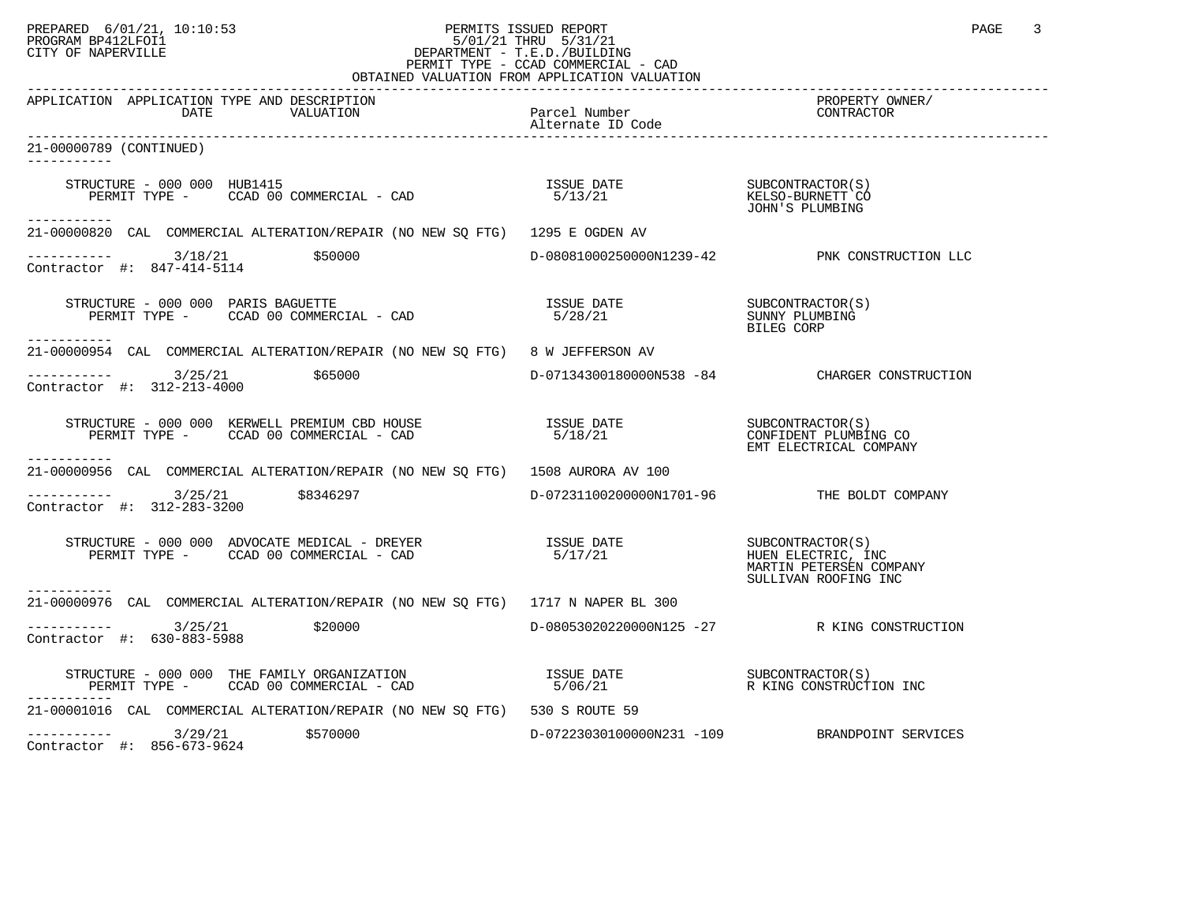#### PREPARED 6/01/21, 10:10:53 PERMITS ISSUED REPORT PAGE 3 PROGRAM BP412LFOI1 5/01/21 THRU 5/31/21 CITY OF NAPERVILLE **Example 20** CITY OF NAPERVILLE PERMIT TYPE - CCAD COMMERCIAL - CAD OBTAINED VALUATION FROM APPLICATION VALUATION

| UDITILITY VILOITILOIN ITIOPI                                                                                                                                                                                                                                                                                                                                      |                                                                     |                                                                                           |
|-------------------------------------------------------------------------------------------------------------------------------------------------------------------------------------------------------------------------------------------------------------------------------------------------------------------------------------------------------------------|---------------------------------------------------------------------|-------------------------------------------------------------------------------------------|
| APPLICATION APPLICATION TYPE AND DESCRIPTION<br>VALUATION<br>DATE                                                                                                                                                                                                                                                                                                 | Parcel Number<br>Alternate ID Code                                  | PROPERTY OWNER/<br>CONTRACTOR                                                             |
| 21-00000789 (CONTINUED)<br>-----------                                                                                                                                                                                                                                                                                                                            |                                                                     |                                                                                           |
| STRUCTURE - 000 000 HUB1415<br>------------                                                                                                                                                                                                                                                                                                                       |                                                                     | JOHN'S PLUMBING                                                                           |
| 21-00000820 CAL COMMERCIAL ALTERATION/REPAIR (NO NEW SQ FTG) 1295 E OGDEN AV                                                                                                                                                                                                                                                                                      |                                                                     |                                                                                           |
| $\begin{array}{cccc}\n - & - & - & - & - - \\  \text{Contractor} & + & 847 - 414 - 5114 & \end{array}$ \$50000                                                                                                                                                                                                                                                    |                                                                     | D-08081000250000N1239-42 PNK CONSTRUCTION LLC                                             |
| STRUCTURE - 000 000 PARIS BAGUETTE<br>PERMIT TYPE - CCAD 00 COMMERCIAL - CAD<br>-----------                                                                                                                                                                                                                                                                       | ISSUE DATE SUBCONTRACTOR(S)<br>5/28/21 SUNNY PLUMBING<br>BILEG CORP |                                                                                           |
| 21-00000954 CAL COMMERCIAL ALTERATION/REPAIR (NO NEW SO FTG) 8 W JEFFERSON AV                                                                                                                                                                                                                                                                                     |                                                                     |                                                                                           |
| $---------$ 3/25/21 \$65000<br>Contractor #: 312-213-4000                                                                                                                                                                                                                                                                                                         |                                                                     | D-07134300180000N538 -84 CHARGER CONSTRUCTION                                             |
|                                                                                                                                                                                                                                                                                                                                                                   |                                                                     |                                                                                           |
| 21-00000956 CAL COMMERCIAL ALTERATION/REPAIR (NO NEW SQ FTG) 1508 AURORA AV 100                                                                                                                                                                                                                                                                                   |                                                                     |                                                                                           |
| $------$ 3/25/21 \$8346297<br>Contractor #: 312-283-3200                                                                                                                                                                                                                                                                                                          | D-07231100200000N1701-96 THE BOLDT COMPANY                          |                                                                                           |
|                                                                                                                                                                                                                                                                                                                                                                   |                                                                     | SUBCONTRACTOR(S)<br>HUEN ELECTRIC, INC<br>MARTIN PETERSEN COMPANY<br>SULLIVAN ROOFING INC |
| 21-00000976 CAL COMMERCIAL ALTERATION/REPAIR (NO NEW SO FTG) 1717 N NAPER BL 300                                                                                                                                                                                                                                                                                  |                                                                     |                                                                                           |
| $---------$ 3/25/21 \$20000<br>Contractor #: 630-883-5988                                                                                                                                                                                                                                                                                                         |                                                                     | D-08053020220000N125 -27 R KING CONSTRUCTION                                              |
| $\begin{array}{cccccc} \texttt{STRUCTURE} & - & 000 & 000 & \texttt{THE FAMILY ORGANIZATION} & & & & & & \texttt{ISSUE DATE} & & & & & \texttt{SUBCONTRACTOR(S)}\\ \texttt{PERMIT TYPE} & - & & & & & & & \texttt{CCAD} & 00 & \texttt{COMMERCIAL} & - & \texttt{CAD} & & & & & \texttt{5/06/21} & & & & \texttt{R} & \texttt{KING CONTRYUCTION INC} \end{array}$ |                                                                     |                                                                                           |
| 21-00001016 CAL COMMERCIAL ALTERATION/REPAIR (NO NEW SQ FTG) 530 S ROUTE 59                                                                                                                                                                                                                                                                                       |                                                                     |                                                                                           |
| $---------$ 3/29/21 \$570000<br>Contractor #: 856-673-9624                                                                                                                                                                                                                                                                                                        |                                                                     | D-07223030100000N231 -109 BRANDPOINT SERVICES                                             |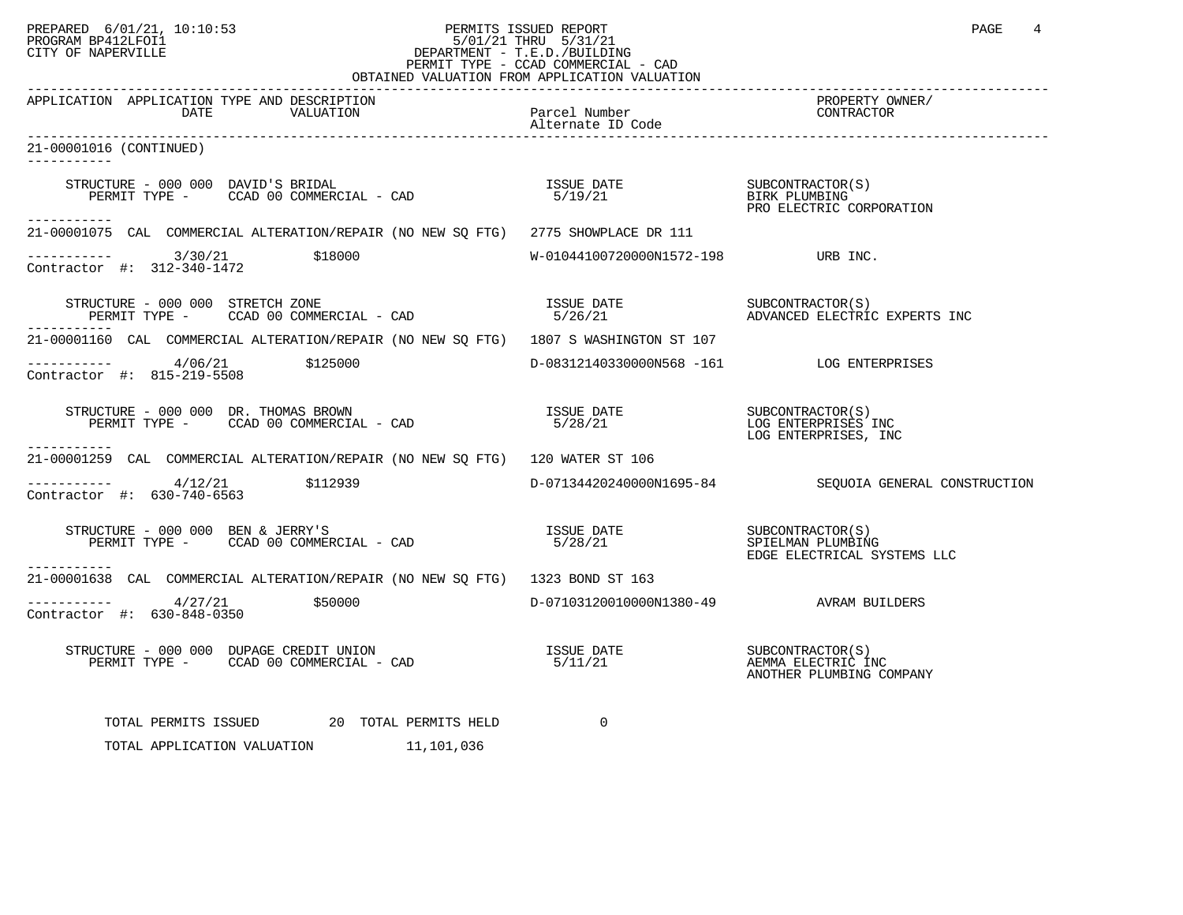## PREPARED 6/01/21, 10:10:53 PERMITS ISSUED REPORT PAGE 4 PROGRAM BP412LFOI1 5/01/21 THRU 5/31/21 CITY OF NAPERVILLE **Example 20** CITY OF NAPERVILLE PERMIT TYPE - CCAD COMMERCIAL - CAD

| OBTAINED VALUATION FROM APPLICATION VALUATION                                                                                                                   |                                                 |                                                                 |  |
|-----------------------------------------------------------------------------------------------------------------------------------------------------------------|-------------------------------------------------|-----------------------------------------------------------------|--|
| APPLICATION APPLICATION TYPE AND DESCRIPTION<br>The set of the Mumber<br>VALUATION Parcel Number<br>Alternate ID Code<br>DATE                                   |                                                 | PROPERTY OWNER/<br>CONTRACTOR                                   |  |
| 21-00001016 (CONTINUED)                                                                                                                                         |                                                 |                                                                 |  |
| STRUCTURE – 000 000 DAVID'S BRIDAL (S)<br>PERMIT TYPE – CCAD 00 COMMERCIAL – CAD (S) S/19/21 (S) BIRK PLUMBING<br>PRO ELECTRIC CORPORATION                      |                                                 |                                                                 |  |
| -----------<br>21-00001075 CAL COMMERCIAL ALTERATION/REPAIR (NO NEW SO FTG) 2775 SHOWPLACE DR 111                                                               |                                                 |                                                                 |  |
| $-$ --------- $3/30/21$ \$18000<br>Contractor #: 312-340-1472                                                                                                   | $W-01044100720000N1572-198$ URB INC.            |                                                                 |  |
|                                                                                                                                                                 |                                                 |                                                                 |  |
| 21-00001160 CAL COMMERCIAL ALTERATION/REPAIR (NO NEW SQ FTG) 1807 S WASHINGTON ST 107                                                                           |                                                 |                                                                 |  |
| ----------- $4/06/21$ $$125000$ $D-08312140330000N568 -161$ LOG ENTERPRISES Contractor #: 815-219-5508                                                          |                                                 |                                                                 |  |
|                                                                                                                                                                 |                                                 | SUBCONTRACTOR(S)<br>LOG ENTERPRISES INC<br>LOG ENTERPRISES, INC |  |
| 21-00001259 CAL COMMERCIAL ALTERATION/REPAIR (NO NEW SQ FTG) 120 WATER ST 106                                                                                   |                                                 |                                                                 |  |
| $\frac{4}{12/21}$ \$112939<br>Contractor #: 630-740-6563                                                                                                        |                                                 | D-07134420240000N1695-84 SEQUOIA GENERAL CONSTRUCTION           |  |
| STRUCTURE – 000 000 BEN & JERRY'S<br>PERMIT TYPE – CCAD 00 COMMERCIAL – CAD                               5/28/21<br>EDGE ELECTRICAL SYSTEMS LLC<br>----------- |                                                 |                                                                 |  |
| 21-00001638 CAL COMMERCIAL ALTERATION/REPAIR (NO NEW SO FTG) 1323 BOND ST 163                                                                                   |                                                 |                                                                 |  |
| $--------$ 4/27/21<br>Contractor #: 630-848-0350                                                                                                                | \$50000 D-07103120010000N1380-49 AVRAM BUILDERS |                                                                 |  |
| STRUCTURE – 000 000 DUPAGE CREDIT UNION<br>PERMIT TYPE – CCAD 00 COMMERCIAL – CAD $5/11/21$ SUBCONTRACTOR(S)                                                    |                                                 | ANOTHER PLUMBING COMPANY                                        |  |
| TOTAL PERMITS ISSUED<br>20 TOTAL PERMITS HELD<br>TOTAL APPLICATION VALUATION 11,101,036                                                                         | 0                                               |                                                                 |  |